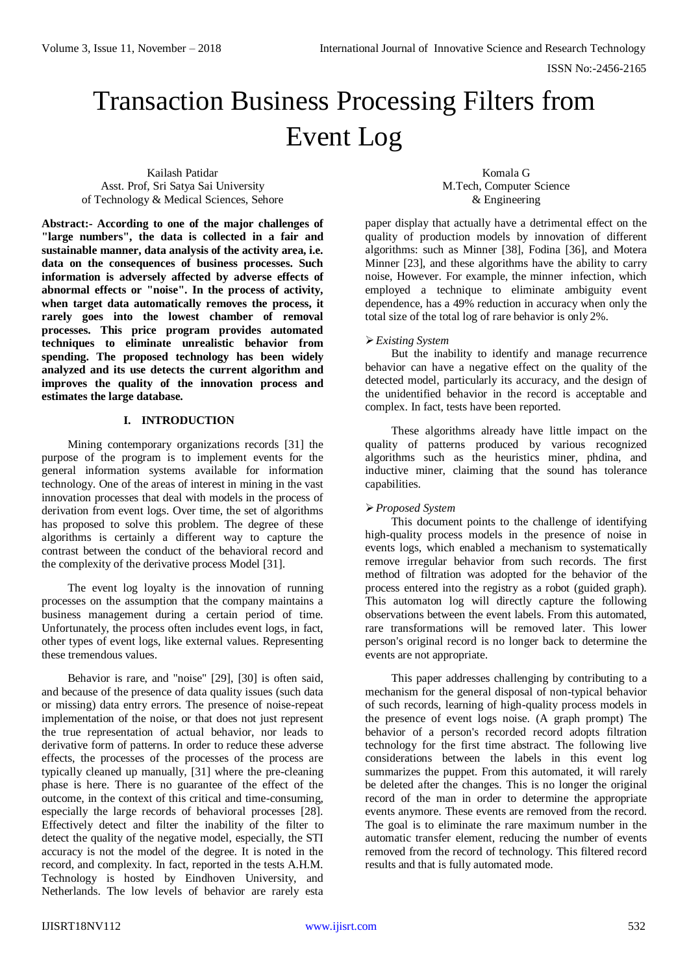ISSN No:-2456-2165

# Transaction Business Processing Filters from Event Log

Kailash Patidar Asst. Prof, Sri Satya Sai University of Technology & Medical Sciences, Sehore

Komala G M.Tech, Computer Science & Engineering

**Abstract:- According to one of the major challenges of "large numbers", the data is collected in a fair and sustainable manner, data analysis of the activity area, i.e. data on the consequences of business processes. Such information is adversely affected by adverse effects of abnormal effects or "noise". In the process of activity, when target data automatically removes the process, it rarely goes into the lowest chamber of removal processes. This price program provides automated techniques to eliminate unrealistic behavior from spending. The proposed technology has been widely analyzed and its use detects the current algorithm and improves the quality of the innovation process and estimates the large database.**

# **I. INTRODUCTION**

Mining contemporary organizations records [31] the purpose of the program is to implement events for the general information systems available for information technology. One of the areas of interest in mining in the vast innovation processes that deal with models in the process of derivation from event logs. Over time, the set of algorithms has proposed to solve this problem. The degree of these algorithms is certainly a different way to capture the contrast between the conduct of the behavioral record and the complexity of the derivative process Model [31].

The event log loyalty is the innovation of running processes on the assumption that the company maintains a business management during a certain period of time. Unfortunately, the process often includes event logs, in fact, other types of event logs, like external values. Representing these tremendous values.

Behavior is rare, and "noise" [29], [30] is often said, and because of the presence of data quality issues (such data or missing) data entry errors. The presence of noise-repeat implementation of the noise, or that does not just represent the true representation of actual behavior, nor leads to derivative form of patterns. In order to reduce these adverse effects, the processes of the processes of the process are typically cleaned up manually, [31] where the pre-cleaning phase is here. There is no guarantee of the effect of the outcome, in the context of this critical and time-consuming, especially the large records of behavioral processes [28]. Effectively detect and filter the inability of the filter to detect the quality of the negative model, especially, the STI accuracy is not the model of the degree. It is noted in the record, and complexity. In fact, reported in the tests A.H.M. Technology is hosted by Eindhoven University, and Netherlands. The low levels of behavior are rarely esta

paper display that actually have a detrimental effect on the quality of production models by innovation of different algorithms: such as Minner [38], Fodina [36], and Motera Minner [23], and these algorithms have the ability to carry noise, However. For example, the minner infection, which employed a technique to eliminate ambiguity event dependence, has a 49% reduction in accuracy when only the total size of the total log of rare behavior is only 2%.

# *Existing System*

But the inability to identify and manage recurrence behavior can have a negative effect on the quality of the detected model, particularly its accuracy, and the design of the unidentified behavior in the record is acceptable and complex. In fact, tests have been reported.

These algorithms already have little impact on the quality of patterns produced by various recognized algorithms such as the heuristics miner, phdina, and inductive miner, claiming that the sound has tolerance capabilities.

# *Proposed System*

This document points to the challenge of identifying high-quality process models in the presence of noise in events logs, which enabled a mechanism to systematically remove irregular behavior from such records. The first method of filtration was adopted for the behavior of the process entered into the registry as a robot (guided graph). This automaton log will directly capture the following observations between the event labels. From this automated, rare transformations will be removed later. This lower person's original record is no longer back to determine the events are not appropriate.

This paper addresses challenging by contributing to a mechanism for the general disposal of non-typical behavior of such records, learning of high-quality process models in the presence of event logs noise. (A graph prompt) The behavior of a person's recorded record adopts filtration technology for the first time abstract. The following live considerations between the labels in this event log summarizes the puppet. From this automated, it will rarely be deleted after the changes. This is no longer the original record of the man in order to determine the appropriate events anymore. These events are removed from the record. The goal is to eliminate the rare maximum number in the automatic transfer element, reducing the number of events removed from the record of technology. This filtered record results and that is fully automated mode.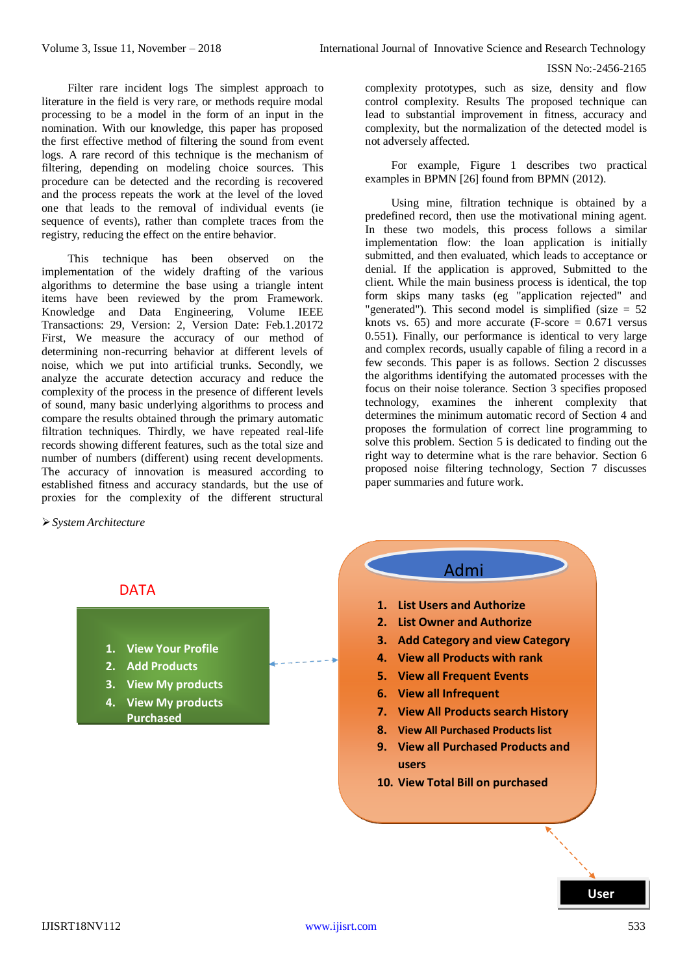examples in BPMN [26] found from BPMN (2012).

not adversely affected.

complexity prototypes, such as size, density and flow control complexity. Results The proposed technique can lead to substantial improvement in fitness, accuracy and complexity, but the normalization of the detected model is

For example, Figure 1 describes two practical

Using mine, filtration technique is obtained by a predefined record, then use the motivational mining agent. In these two models, this process follows a similar implementation flow: the loan application is initially submitted, and then evaluated, which leads to acceptance or denial. If the application is approved, Submitted to the client. While the main business process is identical, the top form skips many tasks (eg "application rejected" and "generated"). This second model is simplified (size  $= 52$ knots vs. 65) and more accurate (F-score  $= 0.671$  versus 0.551). Finally, our performance is identical to very large and complex records, usually capable of filing a record in a few seconds. This paper is as follows. Section 2 discusses the algorithms identifying the automated processes with the focus on their noise tolerance. Section 3 specifies proposed technology, examines the inherent complexity that determines the minimum automatic record of Section 4 and proposes the formulation of correct line programming to solve this problem. Section 5 is dedicated to finding out the right way to determine what is the rare behavior. Section 6 proposed noise filtering technology, Section 7 discusses

#### ISSN No:-2456-2165

Filter rare incident logs The simplest approach to literature in the field is very rare, or methods require modal processing to be a model in the form of an input in the nomination. With our knowledge, this paper has proposed the first effective method of filtering the sound from event logs. A rare record of this technique is the mechanism of filtering, depending on modeling choice sources. This procedure can be detected and the recording is recovered and the process repeats the work at the level of the loved one that leads to the removal of individual events (ie sequence of events), rather than complete traces from the registry, reducing the effect on the entire behavior.

This technique has been observed on the implementation of the widely drafting of the various algorithms to determine the base using a triangle intent items have been reviewed by the prom Framework. Knowledge and Data Engineering, Volume IEEE Transactions: 29, Version: 2, Version Date: Feb.1.20172 First, We measure the accuracy of our method of determining non-recurring behavior at different levels of noise, which we put into artificial trunks. Secondly, we analyze the accurate detection accuracy and reduce the complexity of the process in the presence of different levels of sound, many basic underlying algorithms to process and compare the results obtained through the primary automatic filtration techniques. Thirdly, we have repeated real-life records showing different features, such as the total size and number of numbers (different) using recent developments. The accuracy of innovation is measured according to established fitness and accuracy standards, but the use of proxies for the complexity of the different structural

> **1. View Your Profile 2. Add Products**

**3. View My products 4. View My products Purchased**

*System Architecture*

# Admi de la provincia de la provincia de la provincia de la provincia de la provincia de la provincia de la provinci **1.** List Users and Authorize **2. List Owner and Authorize 3. Add Category and view Category 4. View all Products with rank 5. View all Frequent Events 6. View all Infrequent 7. View All Products search History 8. View All Purchased Products list 9. View all Purchased Products and users 10. View Total Bill on purchased**

paper summaries and future work.

**User**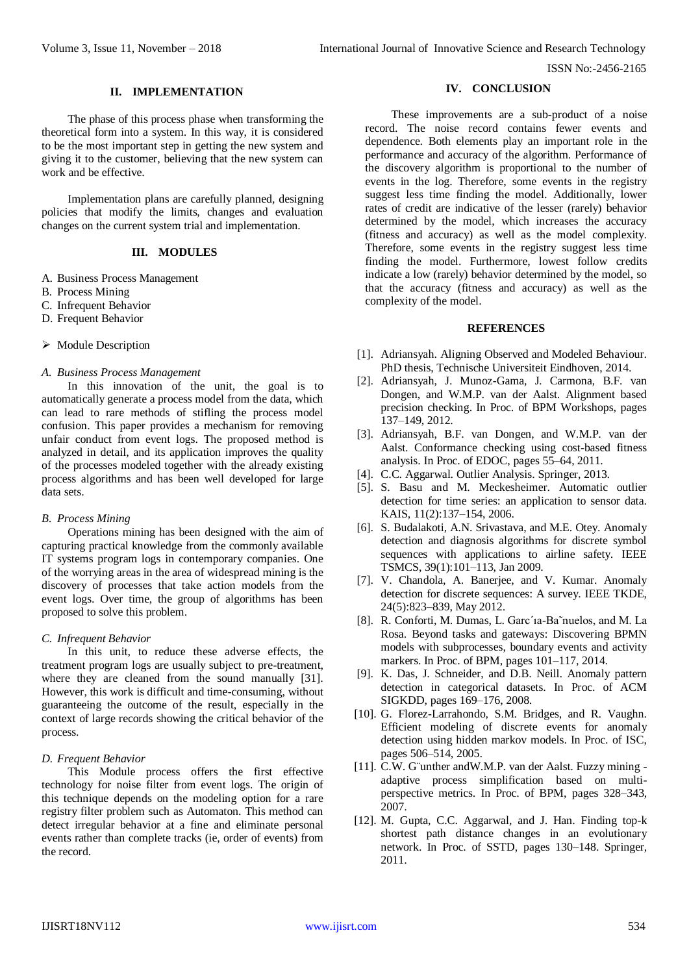ISSN No:-2456-2165

#### **II. IMPLEMENTATION**

The phase of this process phase when transforming the theoretical form into a system. In this way, it is considered to be the most important step in getting the new system and giving it to the customer, believing that the new system can work and be effective.

Implementation plans are carefully planned, designing policies that modify the limits, changes and evaluation changes on the current system trial and implementation.

#### **III. MODULES**

- A. Business Process Management
- B. Process Mining
- C. Infrequent Behavior
- D. Frequent Behavior
- $\triangleright$  Module Description

#### *A. Business Process Management*

In this innovation of the unit, the goal is to automatically generate a process model from the data, which can lead to rare methods of stifling the process model confusion. This paper provides a mechanism for removing unfair conduct from event logs. The proposed method is analyzed in detail, and its application improves the quality of the processes modeled together with the already existing process algorithms and has been well developed for large data sets.

# *B. Process Mining*

Operations mining has been designed with the aim of capturing practical knowledge from the commonly available IT systems program logs in contemporary companies. One of the worrying areas in the area of widespread mining is the discovery of processes that take action models from the event logs. Over time, the group of algorithms has been proposed to solve this problem.

# *C. Infrequent Behavior*

In this unit, to reduce these adverse effects, the treatment program logs are usually subject to pre-treatment, where they are cleaned from the sound manually [31]. However, this work is difficult and time-consuming, without guaranteeing the outcome of the result, especially in the context of large records showing the critical behavior of the process.

#### *D. Frequent Behavior*

This Module process offers the first effective technology for noise filter from event logs. The origin of this technique depends on the modeling option for a rare registry filter problem such as Automaton. This method can detect irregular behavior at a fine and eliminate personal events rather than complete tracks (ie, order of events) from the record.

#### **IV. CONCLUSION**

These improvements are a sub-product of a noise record. The noise record contains fewer events and dependence. Both elements play an important role in the performance and accuracy of the algorithm. Performance of the discovery algorithm is proportional to the number of events in the log. Therefore, some events in the registry suggest less time finding the model. Additionally, lower rates of credit are indicative of the lesser (rarely) behavior determined by the model, which increases the accuracy (fitness and accuracy) as well as the model complexity. Therefore, some events in the registry suggest less time finding the model. Furthermore, lowest follow credits indicate a low (rarely) behavior determined by the model, so that the accuracy (fitness and accuracy) as well as the complexity of the model.

#### **REFERENCES**

- [1]. Adriansyah. Aligning Observed and Modeled Behaviour. PhD thesis, Technische Universiteit Eindhoven, 2014.
- [2]. Adriansyah, J. Munoz-Gama, J. Carmona, B.F. van Dongen, and W.M.P. van der Aalst. Alignment based precision checking. In Proc. of BPM Workshops, pages 137–149, 2012.
- [3]. Adriansyah, B.F. van Dongen, and W.M.P. van der Aalst. Conformance checking using cost-based fitness analysis. In Proc. of EDOC, pages 55–64, 2011.
- [4]. C.C. Aggarwal. Outlier Analysis. Springer, 2013.
- [5]. S. Basu and M. Meckesheimer. Automatic outlier detection for time series: an application to sensor data. KAIS, 11(2):137–154, 2006.
- [6]. S. Budalakoti, A.N. Srivastava, and M.E. Otey. Anomaly detection and diagnosis algorithms for discrete symbol sequences with applications to airline safety. IEEE TSMCS, 39(1):101–113, Jan 2009.
- [7]. V. Chandola, A. Banerjee, and V. Kumar. Anomaly detection for discrete sequences: A survey. IEEE TKDE, 24(5):823–839, May 2012.
- [8]. R. Conforti, M. Dumas, L. Garc´ıa-Ba˜nuelos, and M. La Rosa. Beyond tasks and gateways: Discovering BPMN models with subprocesses, boundary events and activity markers. In Proc. of BPM, pages 101–117, 2014.
- [9]. K. Das, J. Schneider, and D.B. Neill. Anomaly pattern detection in categorical datasets. In Proc. of ACM SIGKDD, pages 169–176, 2008.
- [10]. G. Florez-Larrahondo, S.M. Bridges, and R. Vaughn. Efficient modeling of discrete events for anomaly detection using hidden markov models. In Proc. of ISC, pages 506–514, 2005.
- [11]. C.W. G¨unther andW.M.P. van der Aalst. Fuzzy mining adaptive process simplification based on multiperspective metrics. In Proc. of BPM, pages 328–343, 2007.
- [12]. M. Gupta, C.C. Aggarwal, and J. Han. Finding top-k shortest path distance changes in an evolutionary network. In Proc. of SSTD, pages 130–148. Springer, 2011.